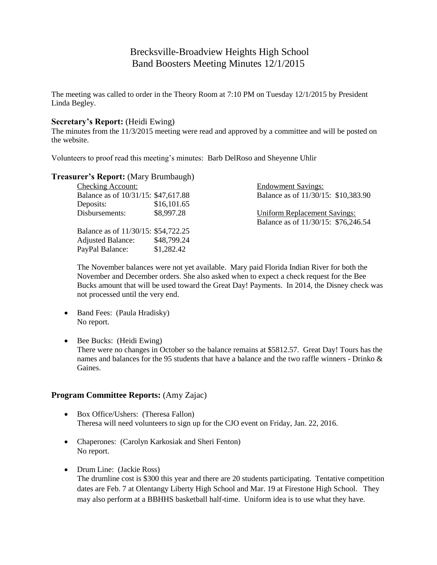# Brecksville-Broadview Heights High School Band Boosters Meeting Minutes 12/1/2015

The meeting was called to order in the Theory Room at 7:10 PM on Tuesday 12/1/2015 by President Linda Begley.

#### **Secretary's Report:** (Heidi Ewing)

The minutes from the 11/3/2015 meeting were read and approved by a committee and will be posted on the website.

Volunteers to proof read this meeting's minutes: Barb DelRoso and Sheyenne Uhlir

#### **Treasurer's Report:** (Mary Brumbaugh)

| Checking Account:                   |             | <b>Endowment Savings:</b>           |
|-------------------------------------|-------------|-------------------------------------|
| Balance as of 10/31/15: \$47,617.88 |             | Balance as of 11/30/15: \$10,383.90 |
| Deposits:                           | \$16,101.65 |                                     |
| Disbursements:                      | \$8,997.28  | <b>Uniform Replacement Savings:</b> |
|                                     |             | Balance as of 11/30/15: \$76,246.54 |
| Balance as of 11/30/15: \$54,722.25 |             |                                     |
| <b>Adjusted Balance:</b>            | \$48,799.24 |                                     |
| PayPal Balance:                     | \$1,282.42  |                                     |

The November balances were not yet available. Mary paid Florida Indian River for both the November and December orders. She also asked when to expect a check request for the Bee Bucks amount that will be used toward the Great Day! Payments. In 2014, the Disney check was not processed until the very end.

- Band Fees: (Paula Hradisky) No report.
- Bee Bucks: (Heidi Ewing) There were no changes in October so the balance remains at \$5812.57. Great Day! Tours has the names and balances for the 95 students that have a balance and the two raffle winners - Drinko  $\&$ Gaines.

#### **Program Committee Reports:** (Amy Zajac)

- Box Office/Ushers: (Theresa Fallon) Theresa will need volunteers to sign up for the CJO event on Friday, Jan. 22, 2016.
- Chaperones: (Carolyn Karkosiak and Sheri Fenton) No report.
- Drum Line: (Jackie Ross)

The drumline cost is \$300 this year and there are 20 students participating. Tentative competition dates are Feb. 7 at Olentangy Liberty High School and Mar. 19 at Firestone High School. They may also perform at a BBHHS basketball half-time. Uniform idea is to use what they have.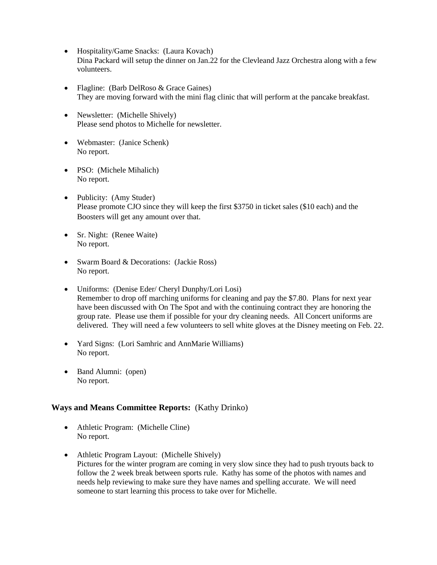- Hospitality/Game Snacks: (Laura Kovach) Dina Packard will setup the dinner on Jan.22 for the Clevleand Jazz Orchestra along with a few volunteers.
- Flagline: (Barb DelRoso & Grace Gaines) They are moving forward with the mini flag clinic that will perform at the pancake breakfast.
- Newsletter: (Michelle Shively) Please send photos to Michelle for newsletter.
- Webmaster: (Janice Schenk) No report.
- PSO: (Michele Mihalich) No report.
- Publicity: (Amy Studer) Please promote CJO since they will keep the first \$3750 in ticket sales (\$10 each) and the Boosters will get any amount over that.
- Sr. Night: (Renee Waite) No report.
- Swarm Board & Decorations: (Jackie Ross) No report.
- Uniforms: (Denise Eder/ Cheryl Dunphy/Lori Losi) Remember to drop off marching uniforms for cleaning and pay the \$7.80. Plans for next year have been discussed with On The Spot and with the continuing contract they are honoring the group rate. Please use them if possible for your dry cleaning needs. All Concert uniforms are delivered. They will need a few volunteers to sell white gloves at the Disney meeting on Feb. 22.
- Yard Signs: (Lori Samhric and AnnMarie Williams) No report.
- Band Alumni: (open) No report.

## **Ways and Means Committee Reports:** (Kathy Drinko)

- Athletic Program: (Michelle Cline) No report.
- Athletic Program Layout: (Michelle Shively) Pictures for the winter program are coming in very slow since they had to push tryouts back to follow the 2 week break between sports rule. Kathy has some of the photos with names and needs help reviewing to make sure they have names and spelling accurate. We will need someone to start learning this process to take over for Michelle.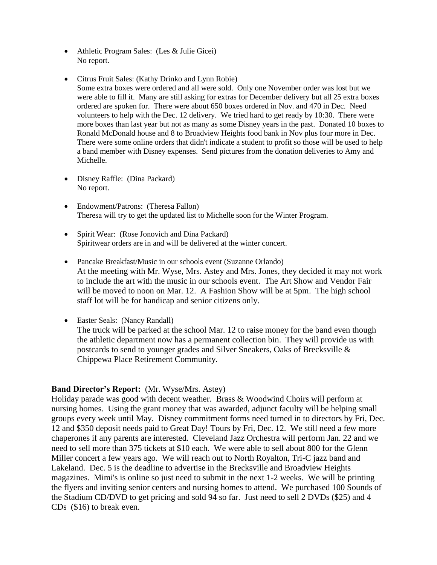- Athletic Program Sales: (Les & Julie Gicei) No report.
- Citrus Fruit Sales: (Kathy Drinko and Lynn Robie) Some extra boxes were ordered and all were sold. Only one November order was lost but we were able to fill it. Many are still asking for extras for December delivery but all 25 extra boxes ordered are spoken for. There were about 650 boxes ordered in Nov. and 470 in Dec. Need volunteers to help with the Dec. 12 delivery. We tried hard to get ready by 10:30. There were more boxes than last year but not as many as some Disney years in the past. Donated 10 boxes to Ronald McDonald house and 8 to Broadview Heights food bank in Nov plus four more in Dec. There were some online orders that didn't indicate a student to profit so those will be used to help a band member with Disney expenses. Send pictures from the donation deliveries to Amy and Michelle.
- Disney Raffle: (Dina Packard) No report.
- Endowment/Patrons: (Theresa Fallon) Theresa will try to get the updated list to Michelle soon for the Winter Program.
- Spirit Wear: (Rose Jonovich and Dina Packard) Spiritwear orders are in and will be delivered at the winter concert.
- Pancake Breakfast/Music in our schools event (Suzanne Orlando) At the meeting with Mr. Wyse, Mrs. Astey and Mrs. Jones, they decided it may not work to include the art with the music in our schools event. The Art Show and Vendor Fair will be moved to noon on Mar. 12. A Fashion Show will be at 5pm. The high school staff lot will be for handicap and senior citizens only.
- Easter Seals: (Nancy Randall)

The truck will be parked at the school Mar. 12 to raise money for the band even though the athletic department now has a permanent collection bin. They will provide us with postcards to send to younger grades and Silver Sneakers, Oaks of Brecksville & Chippewa Place Retirement Community.

## **Band Director's Report:** (Mr. Wyse/Mrs. Astey)

Holiday parade was good with decent weather. Brass & Woodwind Choirs will perform at nursing homes. Using the grant money that was awarded, adjunct faculty will be helping small groups every week until May. Disney commitment forms need turned in to directors by Fri, Dec. 12 and \$350 deposit needs paid to Great Day! Tours by Fri, Dec. 12. We still need a few more chaperones if any parents are interested. Cleveland Jazz Orchestra will perform Jan. 22 and we need to sell more than 375 tickets at \$10 each. We were able to sell about 800 for the Glenn Miller concert a few years ago. We will reach out to North Royalton, Tri-C jazz band and Lakeland. Dec. 5 is the deadline to advertise in the Brecksville and Broadview Heights magazines. Mimi's is online so just need to submit in the next 1-2 weeks. We will be printing the flyers and inviting senior centers and nursing homes to attend. We purchased 100 Sounds of the Stadium CD/DVD to get pricing and sold 94 so far. Just need to sell 2 DVDs (\$25) and 4 CDs (\$16) to break even.